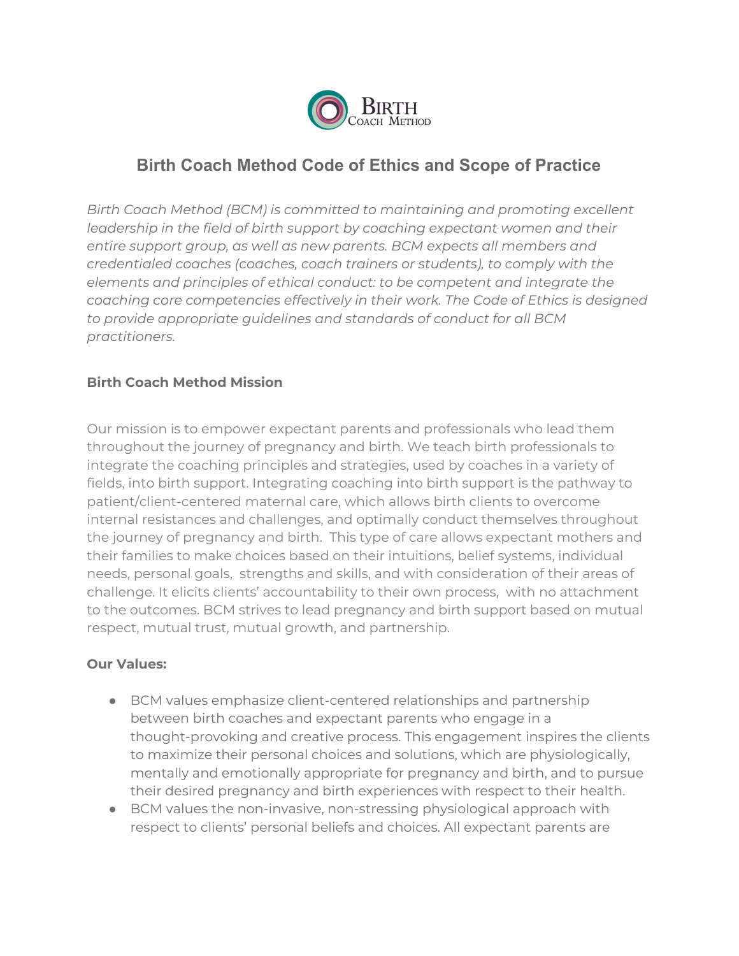

# **Birth Coach Method Code of Ethics and Scope of Practice**

*Birth Coach Method (BCM) is committed to maintaining and promoting excellent leadership in the field of birth support by coaching expectant women and their entire support group, as well as new parents. BCM expects all members and credentialed coaches (coaches, coach trainers or students), to comply with the elements and principles of ethical conduct: to be competent and integrate the coaching core competencies effectively in their work. The Code of Ethics is designed to provide appropriate guidelines and standards of conduct for all BCM practitioners.*

### **Birth Coach Method Mission**

Our mission is to empower expectant parents and professionals who lead them throughout the journey of pregnancy and birth. We teach birth professionals to integrate the coaching principles and strategies, used by coaches in a variety of fields, into birth support. Integrating coaching into birth support is the pathway to patient/client-centered maternal care, which allows birth clients to overcome internal resistances and challenges, and optimally conduct themselves throughout the journey of pregnancy and birth. This type of care allows expectant mothers and their families to make choices based on their intuitions, belief systems, individual needs, personal goals, strengths and skills, and with consideration of their areas of challenge. It elicits clients' accountability to their own process, with no attachment to the outcomes. BCM strives to lead pregnancy and birth support based on mutual respect, mutual trust, mutual growth, and partnership.

#### **Our Values:**

- BCM values emphasize client-centered relationships and partnership between birth coaches and expectant parents who engage in a thought-provoking and creative process. This engagement inspires the clients to maximize their personal choices and solutions, which are physiologically, mentally and emotionally appropriate for pregnancy and birth, and to pursue their desired pregnancy and birth experiences with respect to their health.
- BCM values the non-invasive, non-stressing physiological approach with respect to clients' personal beliefs and choices. All expectant parents are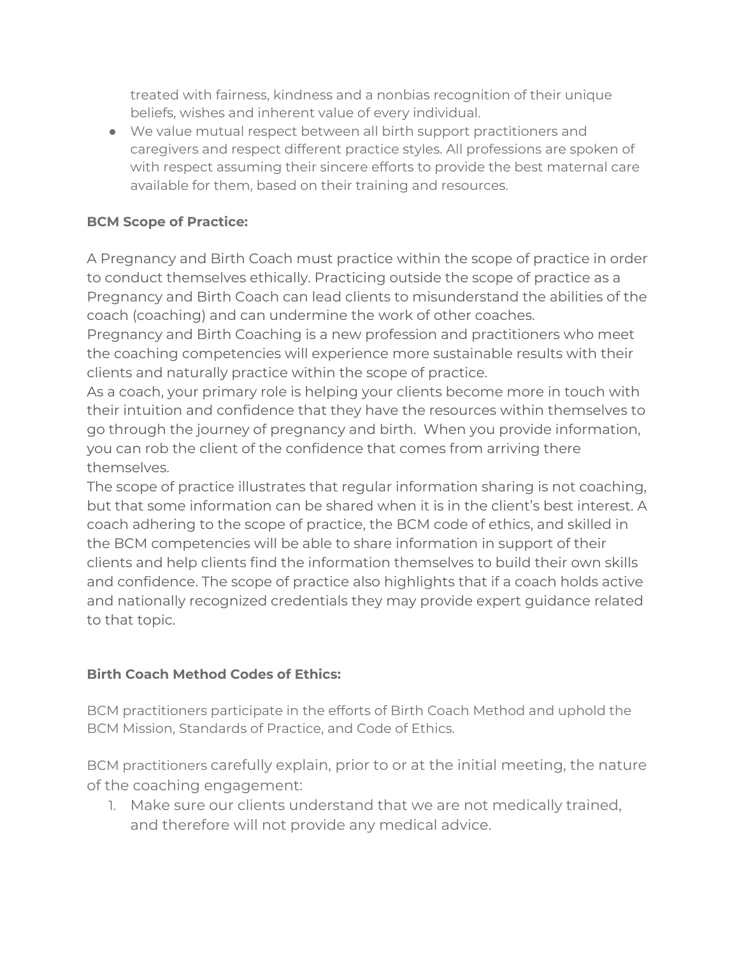treated with fairness, kindness and a nonbias recognition of their unique beliefs, wishes and inherent value of every individual.

● We value mutual respect between all birth support practitioners and caregivers and respect different practice styles. All professions are spoken of with respect assuming their sincere efforts to provide the best maternal care available for them, based on their training and resources.

## **BCM Scope of Practice:**

A Pregnancy and Birth Coach must practice within the scope of practice in order to conduct themselves ethically. Practicing outside the scope of practice as a Pregnancy and Birth Coach can lead clients to misunderstand the abilities of the coach (coaching) and can undermine the work of other coaches.

Pregnancy and Birth Coaching is a new profession and practitioners who meet the coaching competencies will experience more sustainable results with their clients and naturally practice within the scope of practice.

As a coach, your primary role is helping your clients become more in touch with their intuition and confidence that they have the resources within themselves to go through the journey of pregnancy and birth. When you provide information, you can rob the client of the confidence that comes from arriving there themselves.

The scope of practice illustrates that regular information sharing is not coaching, but that some information can be shared when it is in the client's best interest. A coach adhering to the scope of practice, the BCM code of ethics, and skilled in the BCM competencies will be able to share information in support of their clients and help clients find the information themselves to build their own skills and confidence. The scope of practice also highlights that if a coach holds active and nationally recognized credentials they may provide expert guidance related to that topic.

## **Birth Coach Method Codes of Ethics:**

BCM practitioners participate in the efforts of Birth Coach Method and uphold the BCM Mission, Standards of Practice, and Code of Ethics.

BCM practitioners carefully explain, prior to or at the initial meeting, the nature of the coaching engagement:

1. Make sure our clients understand that we are not medically trained, and therefore will not provide any medical advice.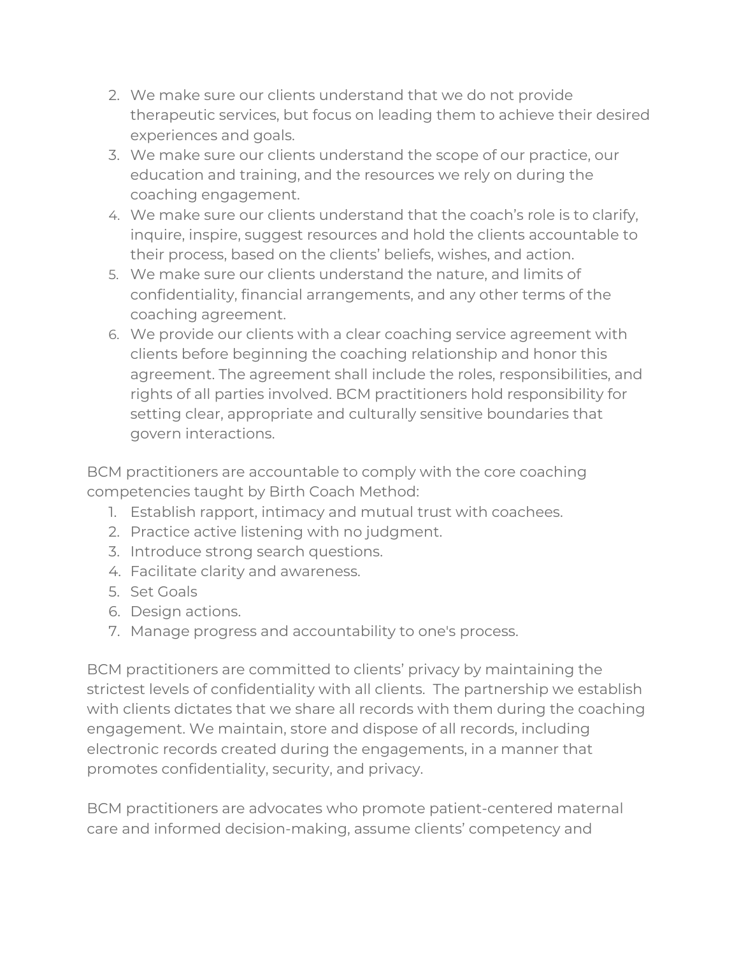- 2. We make sure our clients understand that we do not provide therapeutic services, but focus on leading them to achieve their desired experiences and goals.
- 3. We make sure our clients understand the scope of our practice, our education and training, and the resources we rely on during the coaching engagement.
- 4. We make sure our clients understand that the coach's role is to clarify, inquire, inspire, suggest resources and hold the clients accountable to their process, based on the clients' beliefs, wishes, and action.
- 5. We make sure our clients understand the nature, and limits of confidentiality, financial arrangements, and any other terms of the coaching agreement.
- 6. We provide our clients with a clear coaching service agreement with clients before beginning the coaching relationship and honor this agreement. The agreement shall include the roles, responsibilities, and rights of all parties involved. BCM practitioners hold responsibility for setting clear, appropriate and culturally sensitive boundaries that govern interactions.

BCM practitioners are accountable to comply with the core coaching competencies taught by Birth Coach Method:

- 1. Establish rapport, intimacy and mutual trust with coachees.
- 2. Practice active listening with no judgment.
- 3. Introduce strong search questions.
- 4. Facilitate clarity and awareness.
- 5. Set Goals
- 6. Design actions.
- 7. Manage progress and accountability to one's process.

BCM practitioners are committed to clients' privacy by maintaining the strictest levels of confidentiality with all clients. The partnership we establish with clients dictates that we share all records with them during the coaching engagement. We maintain, store and dispose of all records, including electronic records created during the engagements, in a manner that promotes confidentiality, security, and privacy.

BCM practitioners are advocates who promote patient-centered maternal care and informed decision-making, assume clients' competency and